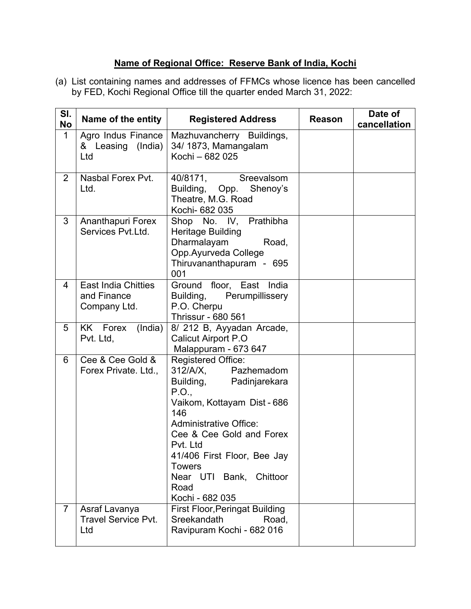## **Name of Regional Office: Reserve Bank of India, Kochi**

(a) List containing names and addresses of FFMCs whose licence has been cancelled by FED, Kochi Regional Office till the quarter ended March 31, 2022:

| SI.<br><b>No</b> | Name of the entity                                        | <b>Registered Address</b>                                                                                                                                                                                                                                                                                    | <b>Reason</b> | Date of<br>cancellation |
|------------------|-----------------------------------------------------------|--------------------------------------------------------------------------------------------------------------------------------------------------------------------------------------------------------------------------------------------------------------------------------------------------------------|---------------|-------------------------|
| 1                | Agro Indus Finance<br>& Leasing (India)<br>Ltd            | Mazhuvancherry Buildings,<br>34/1873, Mamangalam<br>Kochi - 682 025                                                                                                                                                                                                                                          |               |                         |
| $\overline{2}$   | Nasbal Forex Pvt.<br>Ltd.                                 | 40/8171,<br>Sreevalsom<br>Building, Opp.<br>Shenoy's<br>Theatre, M.G. Road<br>Kochi- 682 035                                                                                                                                                                                                                 |               |                         |
| 3                | Ananthapuri Forex<br>Services Pvt.Ltd.                    | Shop No. IV, Prathibha<br>Heritage Building<br>Dharmalayam<br>Road,<br>Opp.Ayurveda College<br>Thiruvananthapuram - 695<br>001                                                                                                                                                                               |               |                         |
| 4                | <b>East India Chitties</b><br>and Finance<br>Company Ltd. | Ground floor, East India<br>Building,<br>Perumpillissery<br>P.O. Cherpu<br><b>Thrissur - 680 561</b>                                                                                                                                                                                                         |               |                         |
| 5                | (India)<br>KK Forex<br>Pvt. Ltd,                          | 8/ 212 B, Ayyadan Arcade,<br><b>Calicut Airport P.O</b><br>Malappuram - 673 647                                                                                                                                                                                                                              |               |                         |
| 6                | Cee & Cee Gold &<br>Forex Private. Ltd.,                  | <b>Registered Office:</b><br>312/A/X,<br>Pazhemadom<br>Building, Padinjarekara<br>P.O.,<br>Vaikom, Kottayam Dist - 686<br>146<br><b>Administrative Office:</b><br>Cee & Cee Gold and Forex<br>Pvt. Ltd<br>41/406 First Floor, Bee Jay<br><b>Towers</b><br>Near UTI Bank, Chittoor<br>Road<br>Kochi - 682 035 |               |                         |
| $\overline{7}$   | Asraf Lavanya<br><b>Travel Service Pvt.</b><br>Ltd        | <b>First Floor, Peringat Building</b><br>Sreekandath<br>Road,<br>Ravipuram Kochi - 682 016                                                                                                                                                                                                                   |               |                         |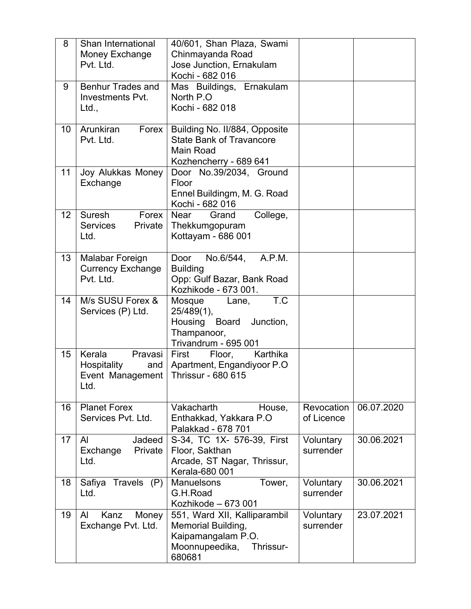| 8  | Shan International<br>Money Exchange<br>Pvt. Ltd.                          | 40/601, Shan Plaza, Swami<br>Chinmayanda Road<br>Jose Junction, Ernakulam<br>Kochi - 682 016                      |                          |            |
|----|----------------------------------------------------------------------------|-------------------------------------------------------------------------------------------------------------------|--------------------------|------------|
| 9  | <b>Benhur Trades and</b><br><b>Investments Pvt.</b><br>Ltd.,               | Mas Buildings, Ernakulam<br>North P.O.<br>Kochi - 682 018                                                         |                          |            |
| 10 | Arunkiran<br>Forex<br>Pvt. Ltd.                                            | Building No. II/884, Opposite<br><b>State Bank of Travancore</b><br><b>Main Road</b><br>Kozhencherry - 689 641    |                          |            |
| 11 | Joy Alukkas Money<br>Exchange                                              | Door No.39/2034, Ground<br>Floor<br>Ennel Buildingm, M. G. Road<br>Kochi - 682 016                                |                          |            |
| 12 | Suresh<br>Forex<br><b>Services</b><br>Private<br>Ltd.                      | College,<br><b>Near</b><br>Grand<br>Thekkumgopuram<br>Kottayam - 686 001                                          |                          |            |
| 13 | Malabar Foreign<br><b>Currency Exchange</b><br>Pvt. Ltd.                   | Door<br>No.6/544, A.P.M.<br><b>Building</b><br>Opp: Gulf Bazar, Bank Road<br>Kozhikode - 673 001.                 |                          |            |
| 14 | M/s SUSU Forex &<br>Services (P) Ltd.                                      | T.C<br>Mosque<br>Lane,<br>$25/489(1)$ ,<br>Housing Board<br>Junction,<br>Thampanoor,<br>Trivandrum - 695 001      |                          |            |
| 15 | Kerala<br>Pravasi<br><b>Hospitality</b><br>and<br>Event Management<br>Ltd. | Karthika<br>First<br>Floor,<br>Apartment, Engandiyoor P.O<br><b>Thrissur - 680 615</b>                            |                          |            |
| 16 | <b>Planet Forex</b><br>Services Pvt. Ltd.                                  | Vakacharth<br>House,<br>Enthakkad, Yakkara P.O.<br>Palakkad - 678 701                                             | Revocation<br>of Licence | 06.07.2020 |
| 17 | $\mathsf{A}$<br>Jadeed<br>Exchange<br>Private<br>Ltd.                      | S-34, TC 1X- 576-39, First<br>Floor, Sakthan<br>Arcade, ST Nagar, Thrissur,<br>Kerala-680 001                     | Voluntary<br>surrender   | 30.06.2021 |
| 18 | Travels (P)<br>Safiya<br>Ltd.                                              | <b>Manuelsons</b><br>Tower,<br>G.H.Road<br>Kozhikode - 673 001                                                    | Voluntary<br>surrender   | 30.06.2021 |
| 19 | Kanz<br>AI<br>Money<br>Exchange Pvt. Ltd.                                  | 551, Ward XII, Kalliparambil<br>Memorial Building,<br>Kaipamangalam P.O.<br>Moonnupeedika,<br>Thrissur-<br>680681 | Voluntary<br>surrender   | 23.07.2021 |